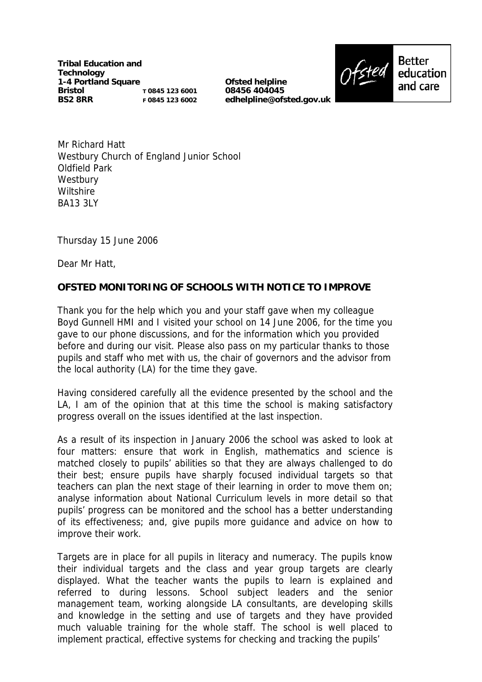**Tribal Education and Technology 1-4 Portland Square Bristol BS2 8RR T 0845 123 6001 F 0845 123 6002**

**Ofsted helpline 08456 404045 edhelpline@ofsted.gov.uk**



Mr Richard Hatt Westbury Church of England Junior School Oldfield Park **Westbury Wiltshire** BA13 3LY

Thursday 15 June 2006

Dear Mr Hatt,

## **OFSTED MONITORING OF SCHOOLS WITH NOTICE TO IMPROVE**

Thank you for the help which you and your staff gave when my colleague Boyd Gunnell HMI and I visited your school on 14 June 2006, for the time you gave to our phone discussions, and for the information which you provided before and during our visit. Please also pass on my particular thanks to those pupils and staff who met with us, the chair of governors and the advisor from the local authority (LA) for the time they gave.

Having considered carefully all the evidence presented by the school and the LA, I am of the opinion that at this time the school is making satisfactory progress overall on the issues identified at the last inspection.

As a result of its inspection in January 2006 the school was asked to look at four matters: ensure that work in English, mathematics and science is matched closely to pupils' abilities so that they are always challenged to do their best; ensure pupils have sharply focused individual targets so that teachers can plan the next stage of their learning in order to move them on; analyse information about National Curriculum levels in more detail so that pupils' progress can be monitored and the school has a better understanding of its effectiveness; and, give pupils more guidance and advice on how to improve their work.

Targets are in place for all pupils in literacy and numeracy. The pupils know their individual targets and the class and year group targets are clearly displayed. What the teacher wants the pupils to learn is explained and referred to during lessons. School subject leaders and the senior management team, working alongside LA consultants, are developing skills and knowledge in the setting and use of targets and they have provided much valuable training for the whole staff. The school is well placed to implement practical, effective systems for checking and tracking the pupils'